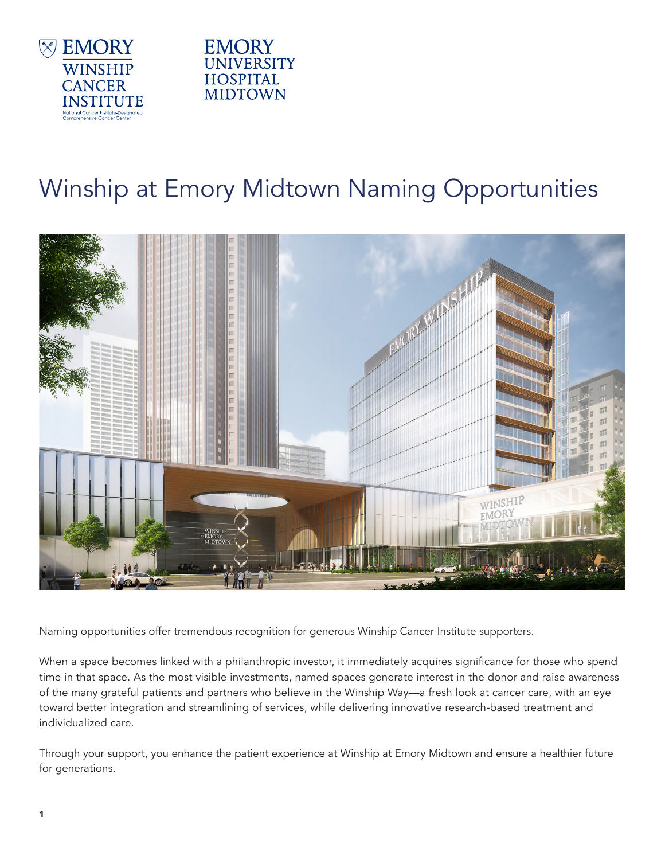



## Winship at Emory Midtown Naming Opportunities



Naming opportunities offer tremendous recognition for generous Winship Cancer Institute supporters.

When a space becomes linked with a philanthropic investor, it immediately acquires significance for those who spend time in that space. As the most visible investments, named spaces generate interest in the donor and raise awareness of the many grateful patients and partners who believe in the Winship Way—a fresh look at cancer care, with an eye toward better integration and streamlining of services, while delivering innovative research-based treatment and individualized care.

Through your support, you enhance the patient experience at Winship at Emory Midtown and ensure a healthier future for generations.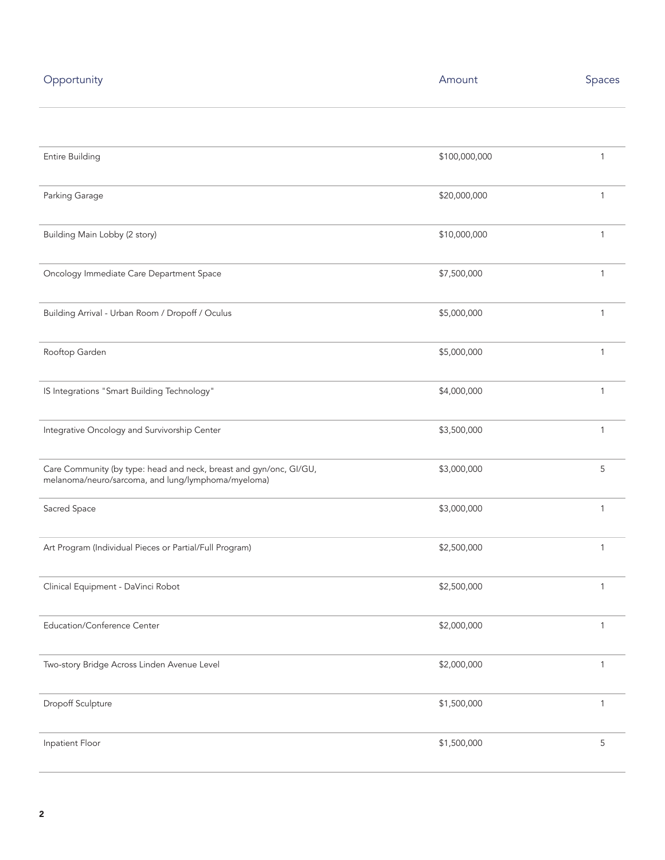| Opportunity                                                                                                              | Amount        | Spaces |
|--------------------------------------------------------------------------------------------------------------------------|---------------|--------|
|                                                                                                                          |               |        |
| Entire Building                                                                                                          | \$100,000,000 | 1      |
| Parking Garage                                                                                                           | \$20,000,000  | 1      |
| Building Main Lobby (2 story)                                                                                            | \$10,000,000  | 1      |
| Oncology Immediate Care Department Space                                                                                 | \$7,500,000   | 1      |
| Building Arrival - Urban Room / Dropoff / Oculus                                                                         | \$5,000,000   | 1      |
| Rooftop Garden                                                                                                           | \$5,000,000   | 1      |
| IS Integrations "Smart Building Technology"                                                                              | \$4,000,000   | 1      |
| Integrative Oncology and Survivorship Center                                                                             | \$3,500,000   | 1      |
| Care Community (by type: head and neck, breast and gyn/onc, GI/GU,<br>melanoma/neuro/sarcoma, and lung/lymphoma/myeloma) | \$3,000,000   | 5      |
| Sacred Space                                                                                                             | \$3,000,000   | 1      |
| Art Program (Individual Pieces or Partial/Full Program)                                                                  | \$2,500,000   | 1      |
| Clinical Equipment - DaVinci Robot                                                                                       | \$2,500,000   | 1      |
| Education/Conference Center                                                                                              | \$2,000,000   | 1      |
| Two-story Bridge Across Linden Avenue Level                                                                              | \$2,000,000   | 1      |
| Dropoff Sculpture                                                                                                        | \$1,500,000   | 1      |
| Inpatient Floor                                                                                                          | \$1,500,000   | 5      |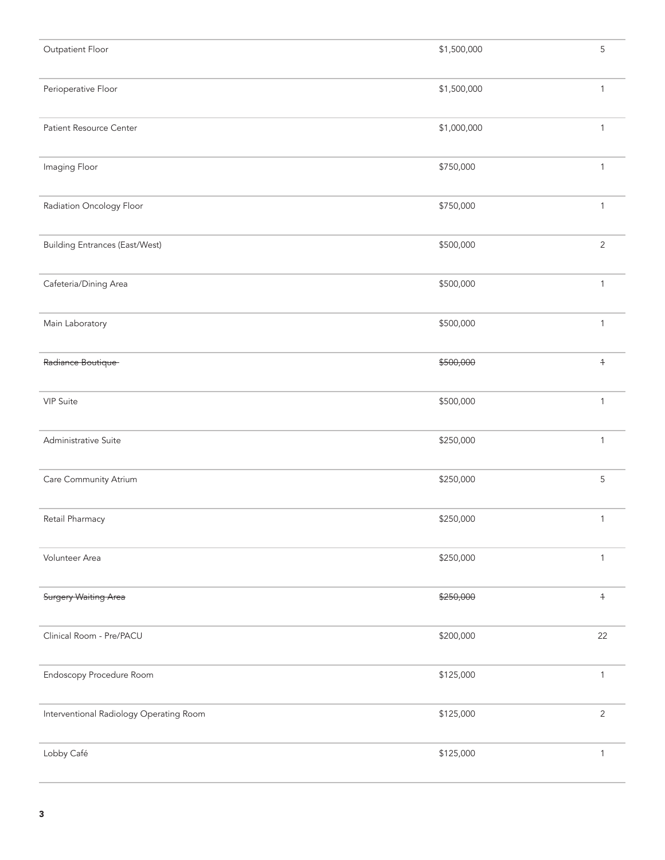| Outpatient Floor                        | \$1,500,000 | 5                         |
|-----------------------------------------|-------------|---------------------------|
| Perioperative Floor                     | \$1,500,000 | $\mathbf{1}$              |
| Patient Resource Center                 | \$1,000,000 | 1                         |
| Imaging Floor                           | \$750,000   | 1                         |
| Radiation Oncology Floor                | \$750,000   | $\mathbf{1}$              |
| <b>Building Entrances (East/West)</b>   | \$500,000   | $\overline{2}$            |
| Cafeteria/Dining Area                   | \$500,000   | 1                         |
| Main Laboratory                         | \$500,000   | $\mathbf{1}$              |
| Radiance Boutique                       | \$500,000   | $+$                       |
| VIP Suite                               | \$500,000   | $\mathbf{1}$              |
| Administrative Suite                    | \$250,000   | 1                         |
| Care Community Atrium                   | \$250,000   | 5                         |
| Retail Pharmacy                         | \$250,000   | 1                         |
| Volunteer Area                          | \$250,000   | $\mathbf{1}$              |
| <b>Surgery Waiting Area</b>             | \$250,000   | $\ensuremath{\mathsf{+}}$ |
| Clinical Room - Pre/PACU                | \$200,000   | 22                        |
| Endoscopy Procedure Room                | \$125,000   | $\mathbf{1}$              |
| Interventional Radiology Operating Room | \$125,000   | $\overline{2}$            |
| Lobby Café                              | \$125,000   | $\mathbf{1}$              |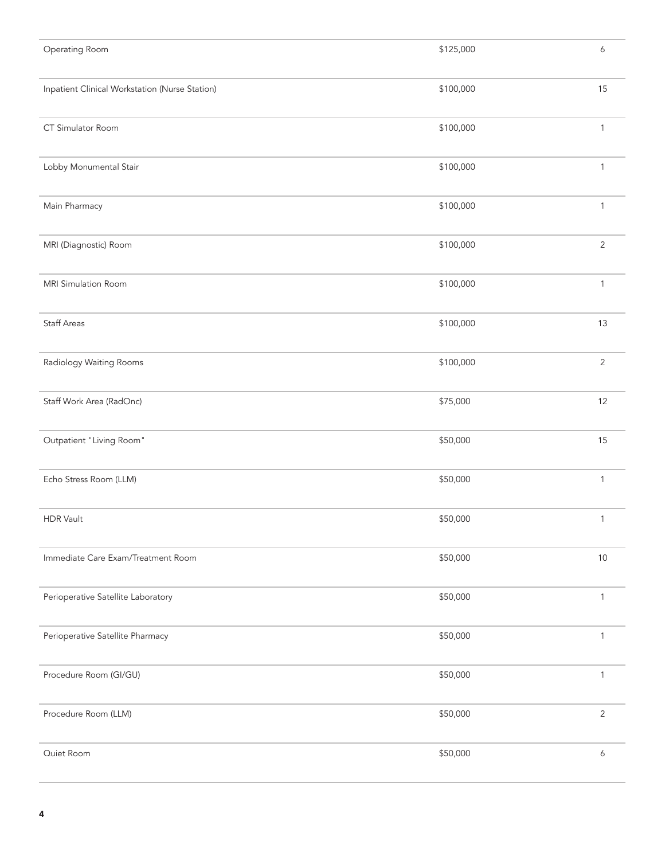| Operating Room                                 | \$125,000 | 6            |
|------------------------------------------------|-----------|--------------|
| Inpatient Clinical Workstation (Nurse Station) | \$100,000 | 15           |
| CT Simulator Room                              | \$100,000 | $\mathbf{1}$ |
| Lobby Monumental Stair                         | \$100,000 | $\mathbf{1}$ |
| Main Pharmacy                                  | \$100,000 | $\mathbf{1}$ |
| MRI (Diagnostic) Room                          | \$100,000 | $\mathbf{2}$ |
| MRI Simulation Room                            | \$100,000 | $\mathbf{1}$ |
| <b>Staff Areas</b>                             | \$100,000 | 13           |
| Radiology Waiting Rooms                        | \$100,000 | $\mathbf{2}$ |
| Staff Work Area (RadOnc)                       | \$75,000  | 12           |
| Outpatient "Living Room"                       | \$50,000  | 15           |
| Echo Stress Room (LLM)                         | \$50,000  | $\mathbf{1}$ |
| <b>HDR Vault</b>                               | \$50,000  | $\mathbf{1}$ |
| Immediate Care Exam/Treatment Room             | \$50,000  | $10$         |
| Perioperative Satellite Laboratory             | \$50,000  | $\mathbf{1}$ |
| Perioperative Satellite Pharmacy               | \$50,000  | $\mathbf{1}$ |
| Procedure Room (GI/GU)                         | \$50,000  | $\mathbf{1}$ |
| Procedure Room (LLM)                           | \$50,000  | $\mathbf{2}$ |
| Quiet Room                                     | \$50,000  | 6            |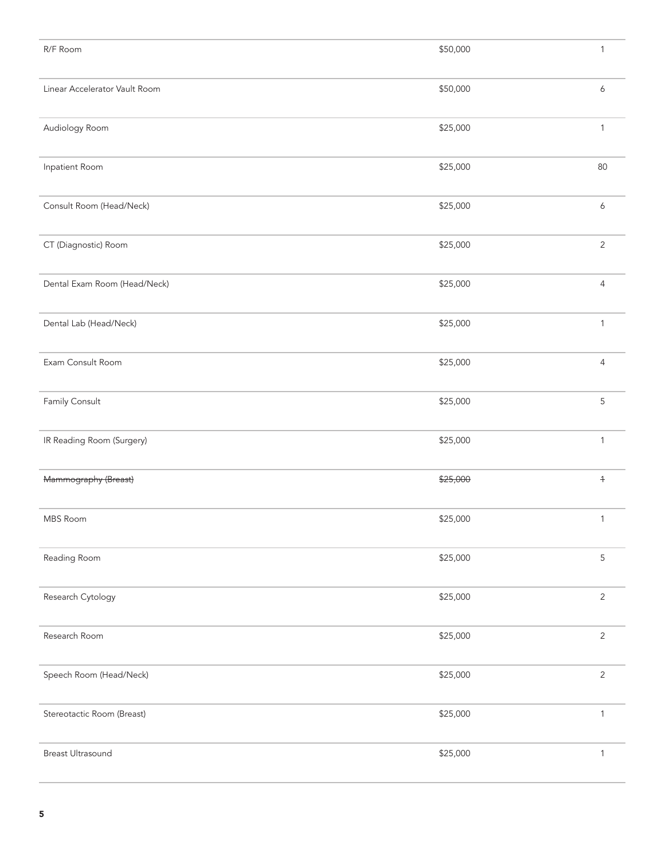| R/F Room                      | \$50,000 | $\mathbf{1}$   |
|-------------------------------|----------|----------------|
| Linear Accelerator Vault Room | \$50,000 | 6              |
| Audiology Room                | \$25,000 | $\mathbf{1}$   |
| Inpatient Room                | \$25,000 | 80             |
| Consult Room (Head/Neck)      | \$25,000 | 6              |
| CT (Diagnostic) Room          | \$25,000 | $\overline{2}$ |
| Dental Exam Room (Head/Neck)  | \$25,000 | $\overline{4}$ |
| Dental Lab (Head/Neck)        | \$25,000 | $\mathbf{1}$   |
| Exam Consult Room             | \$25,000 | $\overline{4}$ |
| Family Consult                | \$25,000 | 5              |
| IR Reading Room (Surgery)     | \$25,000 | $\mathbf{1}$   |
| Mammography (Breast)          | \$25,000 | $+$            |
| MBS Room                      | \$25,000 | $\mathbf{1}$   |
| Reading Room                  | \$25,000 | 5              |
| Research Cytology             | \$25,000 | $\overline{2}$ |
| Research Room                 | \$25,000 | $\overline{2}$ |
| Speech Room (Head/Neck)       | \$25,000 | $\mathbf{2}$   |
| Stereotactic Room (Breast)    | \$25,000 | $\mathbf{1}$   |
| Breast Ultrasound             | \$25,000 | $\mathbf{1}$   |